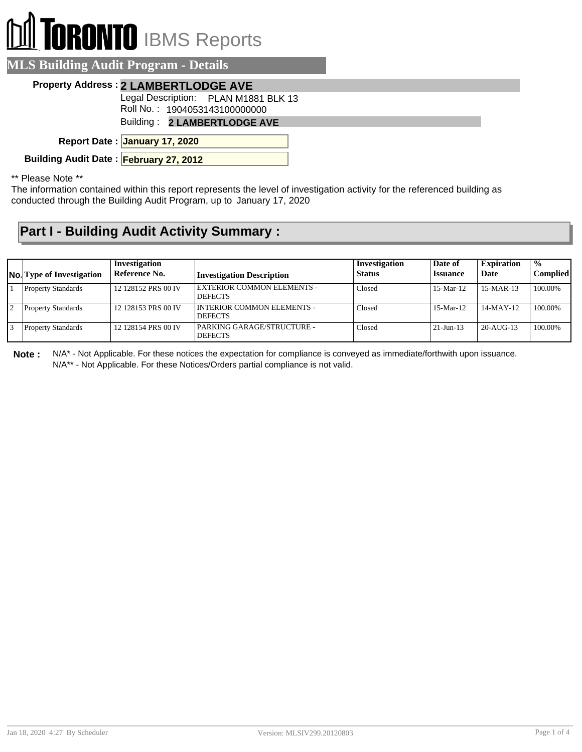## I TORONTO IBMS Reports

| <b>MLS Building Audit Program - Details</b>                          |  |
|----------------------------------------------------------------------|--|
| <b>Property Address: 2 LAMBERTLODGE AVE</b>                          |  |
| Legal Description: PLAN M1881 BLK 13                                 |  |
| Roll No.: 1904053143100000000<br><b>Building: 2 LAMBERTLODGE AVE</b> |  |
|                                                                      |  |
| Report Date: January 17, 2020                                        |  |
| Building Audit Date: February 27, 2012                               |  |
|                                                                      |  |

\*\* Please Note \*\*

The information contained within this report represents the level of investigation activity for the referenced building as conducted through the Building Audit Program, up to January 17, 2020

## **Part I - Building Audit Activity Summary :**

| <b>No.</b> Type of Investigation | Investigation<br>Reference No. | <b>Investigation Description</b>                    | Investigation<br><b>Status</b> | Date of<br><b>Issuance</b> | <b>Expiration</b><br>Date | $\frac{0}{0}$<br>Complied |
|----------------------------------|--------------------------------|-----------------------------------------------------|--------------------------------|----------------------------|---------------------------|---------------------------|
| <b>Property Standards</b>        | 12 128152 PRS 00 IV            | <b>EXTERIOR COMMON ELEMENTS -</b><br><b>DEFECTS</b> | Closed                         | $15-Mar-12$                | $15-MAR-13$               | 100.00%                   |
| <b>Property Standards</b>        | 12 128153 PRS 00 IV            | INTERIOR COMMON ELEMENTS -<br><b>DEFECTS</b>        | Closed                         | $15-Mar-12$                | $14-MAY-12$               | 100.00%                   |
| <b>Property Standards</b>        | 12 128154 PRS 00 IV            | PARKING GARAGE/STRUCTURE -<br><b>DEFECTS</b>        | Closed                         | $21-Jun-13$                | $20 - AIIG - 13$          | 100.00%                   |

**Note :** N/A\* - Not Applicable. For these notices the expectation for compliance is conveyed as immediate/forthwith upon issuance. N/A\*\* - Not Applicable. For these Notices/Orders partial compliance is not valid.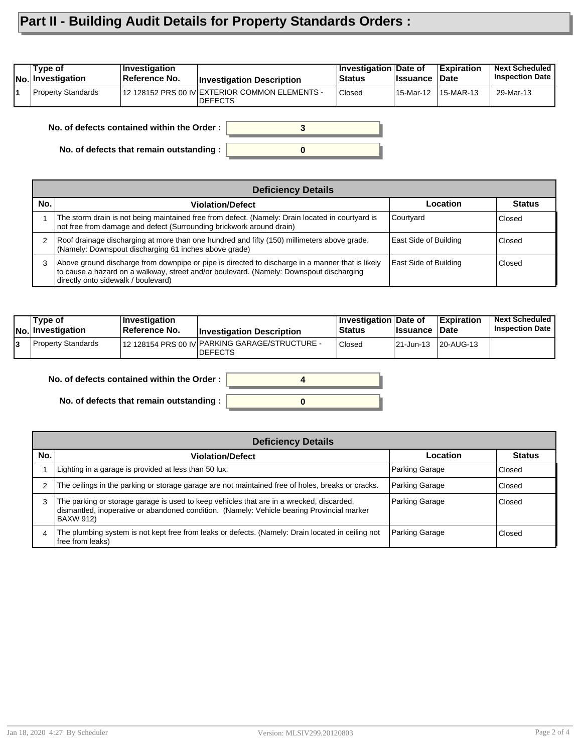## **Part II - Building Audit Details for Property Standards Orders :**

| <b>INo.</b> Investigation | Reference No. | <b>Investigation Description</b>                                 | <b>Status</b> | <b>Issuance</b> | <b>Date</b> | <b>Inspection Date</b> |
|---------------------------|---------------|------------------------------------------------------------------|---------------|-----------------|-------------|------------------------|
| Property Standards        |               | 12 128152 PRS 00 IV EXTERIOR COMMON ELEMENTS -<br><b>DEFECTS</b> | Closed        | 15-Mar-12       | 15-MAR-13   | 29-Mar-13              |

**No. of defects contained within the Order :**

**No. of defects that remain outstanding :**

|     | <b>Deficiency Details</b>                                                                                                                                                                                                          |                       |               |  |  |  |  |
|-----|------------------------------------------------------------------------------------------------------------------------------------------------------------------------------------------------------------------------------------|-----------------------|---------------|--|--|--|--|
| No. | <b>Violation/Defect</b>                                                                                                                                                                                                            | Location              | <b>Status</b> |  |  |  |  |
|     | The storm drain is not being maintained free from defect. (Namely: Drain located in courtyard is<br>not free from damage and defect (Surrounding brickwork around drain)                                                           | Courtyard             | Closed        |  |  |  |  |
| 2   | Roof drainage discharging at more than one hundred and fifty (150) millimeters above grade.<br>(Namely: Downspout discharging 61 inches above grade)                                                                               | East Side of Building | Closed        |  |  |  |  |
| 3   | Above ground discharge from downpipe or pipe is directed to discharge in a manner that is likely<br>to cause a hazard on a walkway, street and/or boulevard. (Namely: Downspout discharging<br>directly onto sidewalk / boulevard) | East Side of Building | Closed        |  |  |  |  |

**0**

**3**

| Type of<br>No. Investigation | $ $ Investigation<br>∣Reference No. | <b>Investigation Description</b>                                  | <b>Investigation Date of</b><br><b>Status</b> | <b>lssuance</b> | <b>Expiration</b><br>∣Date | <b>Next Scheduled</b><br><b>Inspection Date</b> |
|------------------------------|-------------------------------------|-------------------------------------------------------------------|-----------------------------------------------|-----------------|----------------------------|-------------------------------------------------|
| Property Standards           |                                     | 12 128154 PRS 00 IV PARKING GARAGE/STRUCTURE -<br><b>IDEFECTS</b> | <b>Closed</b>                                 | 21-Jun-13       | 20-AUG-13                  |                                                 |

**No. of defects contained within the Order :**

**No. of defects that remain outstanding :**

|     | <b>Deficiency Details</b>                                                                                                                                                                           |                |               |  |  |  |
|-----|-----------------------------------------------------------------------------------------------------------------------------------------------------------------------------------------------------|----------------|---------------|--|--|--|
| No. | <b>Violation/Defect</b>                                                                                                                                                                             | Location       | <b>Status</b> |  |  |  |
|     | Lighting in a garage is provided at less than 50 lux.                                                                                                                                               | Parking Garage | Closed        |  |  |  |
| 2   | The ceilings in the parking or storage garage are not maintained free of holes, breaks or cracks.                                                                                                   | Parking Garage | Closed        |  |  |  |
| 3   | The parking or storage garage is used to keep vehicles that are in a wrecked, discarded,<br>dismantled, inoperative or abandoned condition. (Namely: Vehicle bearing Provincial marker<br>BAXW 912) | Parking Garage | Closed        |  |  |  |
| 4   | The plumbing system is not kept free from leaks or defects. (Namely: Drain located in ceiling not<br>lfree from leaks)                                                                              | Parking Garage | Closed        |  |  |  |

**0**

**4**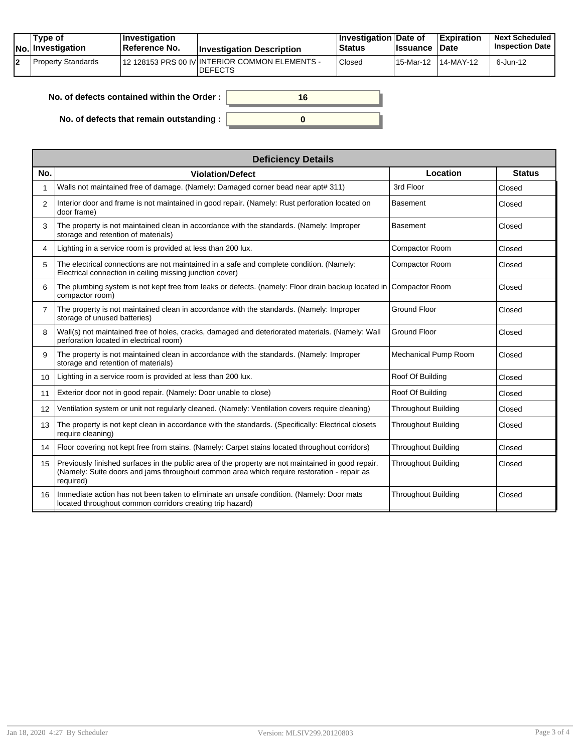| Type of<br>No. Investigation | $ $ Investigation<br><b>Reference No.</b> | <b>Investigation Description</b>                                 | ∣Investigation Date of<br><b>Status</b> | <b>Ilssuance Date</b> | <b>Expiration</b> | <b>Next Scheduled</b><br><b>Inspection Date</b> |
|------------------------------|-------------------------------------------|------------------------------------------------------------------|-----------------------------------------|-----------------------|-------------------|-------------------------------------------------|
| l Property Standards         |                                           | 12 128153 PRS 00 IV INTERIOR COMMON ELEMENTS -<br><b>DEFECTS</b> | <b>Closed</b>                           | 15-Mar-12             | $14-MAY-12$       | 6-Jun-12                                        |

| No. of defects contained within the Order: | 16 |
|--------------------------------------------|----|
| No. of defects that remain outstanding :   |    |

|                | <b>Deficiency Details</b>                                                                                                                                                                                     |                             |               |  |  |  |  |  |
|----------------|---------------------------------------------------------------------------------------------------------------------------------------------------------------------------------------------------------------|-----------------------------|---------------|--|--|--|--|--|
| No.            | <b>Violation/Defect</b>                                                                                                                                                                                       | Location                    | <b>Status</b> |  |  |  |  |  |
| 1              | Walls not maintained free of damage. (Namely: Damaged corner bead near apt# 311)                                                                                                                              | 3rd Floor                   | Closed        |  |  |  |  |  |
| 2              | Interior door and frame is not maintained in good repair. (Namely: Rust perforation located on<br>door frame)                                                                                                 | <b>Basement</b>             | Closed        |  |  |  |  |  |
| 3              | The property is not maintained clean in accordance with the standards. (Namely: Improper<br>storage and retention of materials)                                                                               | <b>Basement</b>             | Closed        |  |  |  |  |  |
| 4              | Lighting in a service room is provided at less than 200 lux.                                                                                                                                                  | <b>Compactor Room</b>       | Closed        |  |  |  |  |  |
| 5              | The electrical connections are not maintained in a safe and complete condition. (Namely:<br>Electrical connection in ceiling missing junction cover)                                                          | Compactor Room              | Closed        |  |  |  |  |  |
| 6              | The plumbing system is not kept free from leaks or defects. (namely: Floor drain backup located in<br>compactor room)                                                                                         | Compactor Room              | Closed        |  |  |  |  |  |
| $\overline{7}$ | The property is not maintained clean in accordance with the standards. (Namely: Improper<br>storage of unused batteries)                                                                                      | <b>Ground Floor</b>         | Closed        |  |  |  |  |  |
| 8              | Wall(s) not maintained free of holes, cracks, damaged and deteriorated materials. (Namely: Wall<br>perforation located in electrical room)                                                                    | <b>Ground Floor</b>         | Closed        |  |  |  |  |  |
| 9              | The property is not maintained clean in accordance with the standards. (Namely: Improper<br>storage and retention of materials)                                                                               | <b>Mechanical Pump Room</b> | Closed        |  |  |  |  |  |
| 10             | Lighting in a service room is provided at less than 200 lux.                                                                                                                                                  | Roof Of Building            | Closed        |  |  |  |  |  |
| 11             | Exterior door not in good repair. (Namely: Door unable to close)                                                                                                                                              | Roof Of Building            | Closed        |  |  |  |  |  |
| 12             | Ventilation system or unit not regularly cleaned. (Namely: Ventilation covers require cleaning)                                                                                                               | Throughout Building         | Closed        |  |  |  |  |  |
| 13             | The property is not kept clean in accordance with the standards. (Specifically: Electrical closets<br>require cleaning)                                                                                       | Throughout Building         | Closed        |  |  |  |  |  |
| 14             | Floor covering not kept free from stains. (Namely: Carpet stains located throughout corridors)                                                                                                                | <b>Throughout Building</b>  | Closed        |  |  |  |  |  |
| 15             | Previously finished surfaces in the public area of the property are not maintained in good repair.<br>(Namely: Suite doors and jams throughout common area which require restoration - repair as<br>required) | Throughout Building         | Closed        |  |  |  |  |  |
| 16             | Immediate action has not been taken to eliminate an unsafe condition. (Namely: Door mats<br>located throughout common corridors creating trip hazard)                                                         | <b>Throughout Building</b>  | Closed        |  |  |  |  |  |